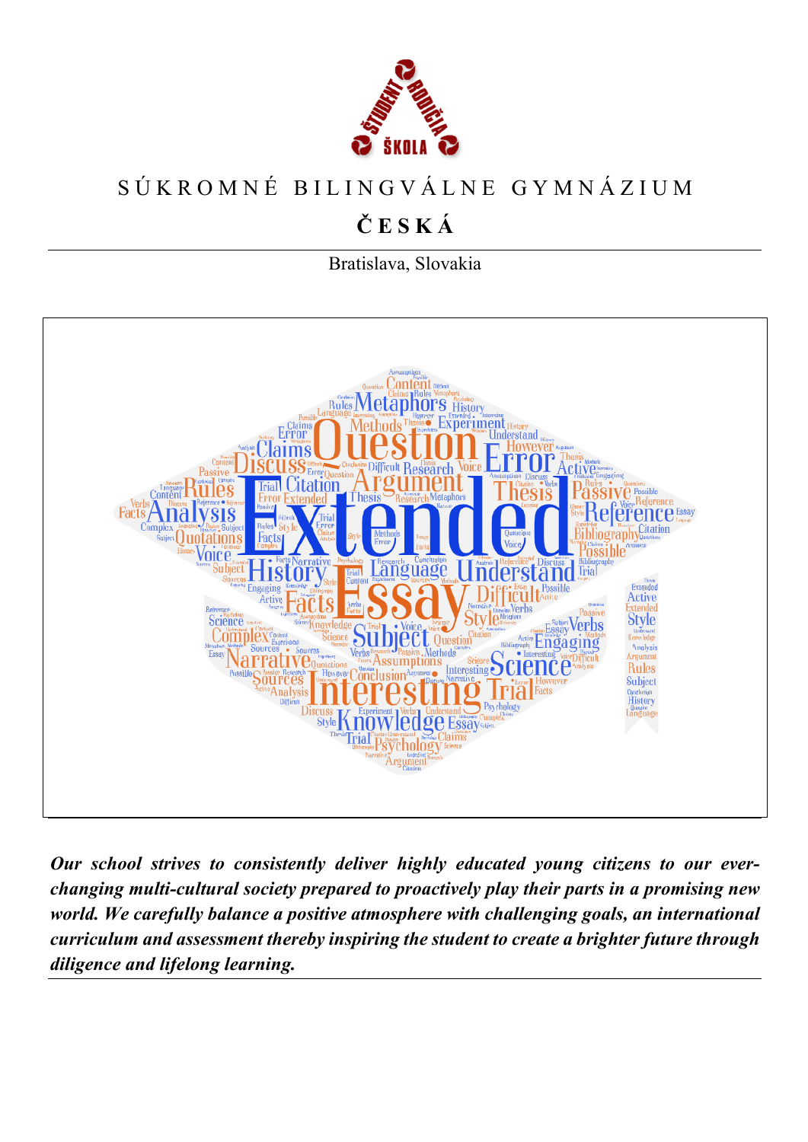

# S Ú K R O M N É B I L I N G V Á L N E G Y M N Á Z I U M

# **Č E S K Á**

Bratislava, Slovakia



*Our school strives to consistently deliver highly educated young citizens to our everchanging multi-cultural society prepared to proactively play their parts in a promising new world. We carefully balance a positive atmosphere with challenging goals, an international curriculum and assessment thereby inspiring the student to create a brighter future through diligence and lifelong learning.*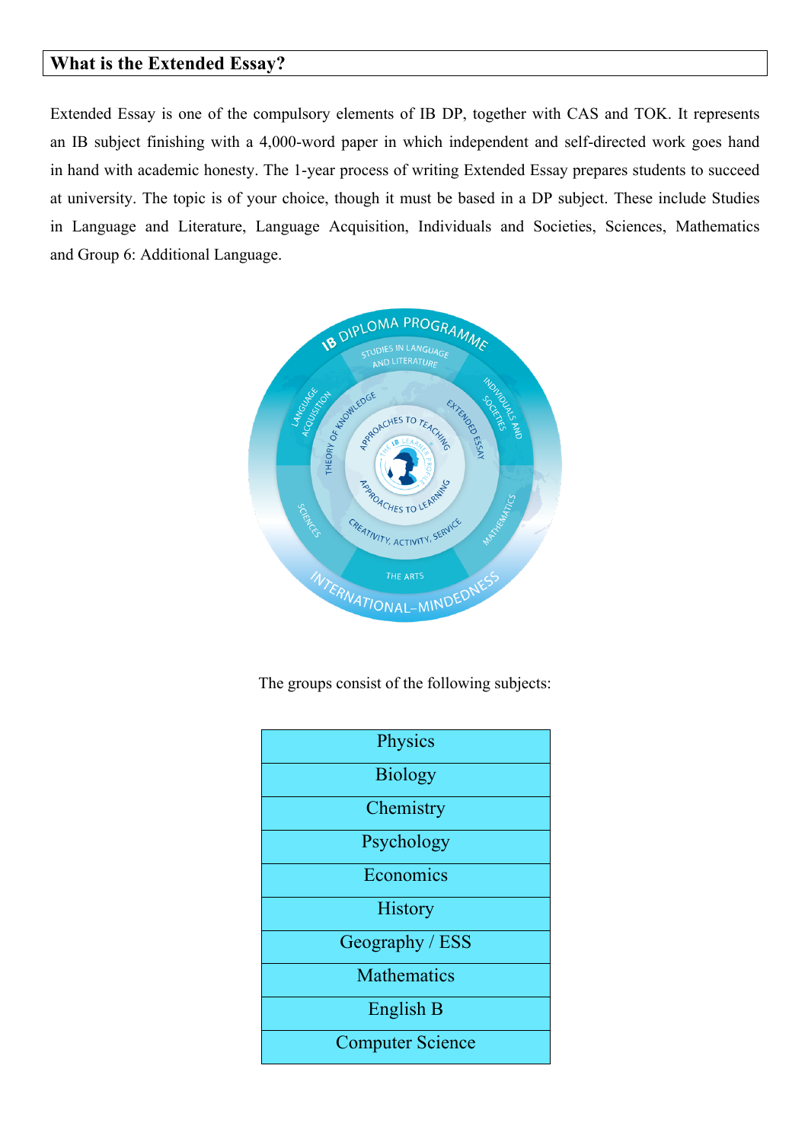# **What is the Extended Essay?**

Extended Essay is one of the compulsory elements of IB DP, together with CAS and TOK. It represents an IB subject finishing with a 4,000-word paper in which independent and self-directed work goes hand in hand with academic honesty. The 1-year process of writing Extended Essay prepares students to succeed at university. The topic is of your choice, though it must be based in a DP subject. These include Studies in Language and Literature, Language Acquisition, Individuals and Societies, Sciences, Mathematics and Group 6: Additional Language.



The groups consist of the following subjects:

| Physics                 |
|-------------------------|
| <b>Biology</b>          |
| Chemistry               |
| Psychology              |
| Economics               |
| <b>History</b>          |
| Geography / ESS         |
| <b>Mathematics</b>      |
| English B               |
| <b>Computer Science</b> |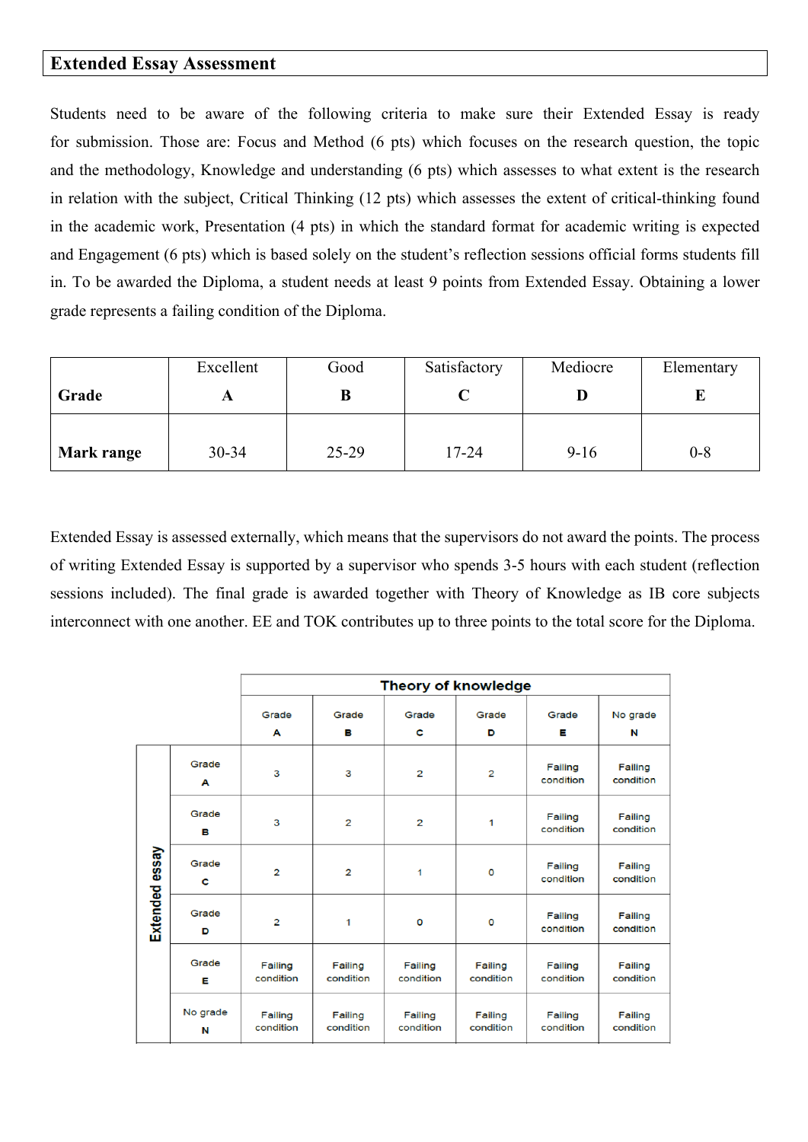#### **Extended Essay Assessment**

Students need to be aware of the following criteria to make sure their Extended Essay is ready for submission. Those are: Focus and Method (6 pts) which focuses on the research question, the topic and the methodology, Knowledge and understanding (6 pts) which assesses to what extent is the research in relation with the subject, Critical Thinking (12 pts) which assesses the extent of critical-thinking found in the academic work, Presentation (4 pts) in which the standard format for academic writing is expected and Engagement (6 pts) which is based solely on the student's reflection sessions official forms students fill in. To be awarded the Diploma, a student needs at least 9 points from Extended Essay. Obtaining a lower grade represents a failing condition of the Diploma.

|                   | Excellent | Good  | Satisfactory | Mediocre | Elementary |
|-------------------|-----------|-------|--------------|----------|------------|
| Grade             | A         |       |              |          |            |
|                   |           |       |              |          |            |
| <b>Mark range</b> | $30 - 34$ | 25-29 | 17-24        | $9-16$   | $0 - 8$    |

Extended Essay is assessed externally, which means that the supervisors do not award the points. The process of writing Extended Essay is supported by a supervisor who spends 3-5 hours with each student (reflection sessions included). The final grade is awarded together with Theory of Knowledge as IB core subjects interconnect with one another. EE and TOK contributes up to three points to the total score for the Diploma.

|                |               | <b>Theory of knowledge</b> |                      |                      |                             |                             |                             |  |
|----------------|---------------|----------------------------|----------------------|----------------------|-----------------------------|-----------------------------|-----------------------------|--|
|                |               | Grade<br>A                 | Grade<br>в           | Grade<br>c           | Grade<br>D                  | Grade<br>Е                  | No grade<br>N               |  |
| Extended essay | Grade<br>Α    | 3                          | 3                    | $\overline{2}$       | $\overline{2}$              | Failing<br>condition        | Failing<br>condition        |  |
|                | Grade<br>в    | 3                          | $\overline{2}$       | $\overline{2}$       | 1                           | <b>Failing</b><br>condition | <b>Failing</b><br>condition |  |
|                | Grade<br>C    | $\overline{2}$             | $\overline{2}$       | 1                    | O                           | <b>Failing</b><br>condition | Failing<br>condition        |  |
|                | Grade<br>D    | $\overline{2}$             | 1                    | O                    | 0                           | Failing<br>condition        | Failing<br>condition        |  |
|                | Grade<br>Е    | Failing<br>condition       | Failing<br>condition | Failing<br>condition | <b>Failing</b><br>condition | <b>Failing</b><br>condition | Failing<br>condition        |  |
|                | No grade<br>N | Failing<br>condition       | Failing<br>condition | Failing<br>condition | Failing<br>condition        | Failing<br>condition        | Failing<br>condition        |  |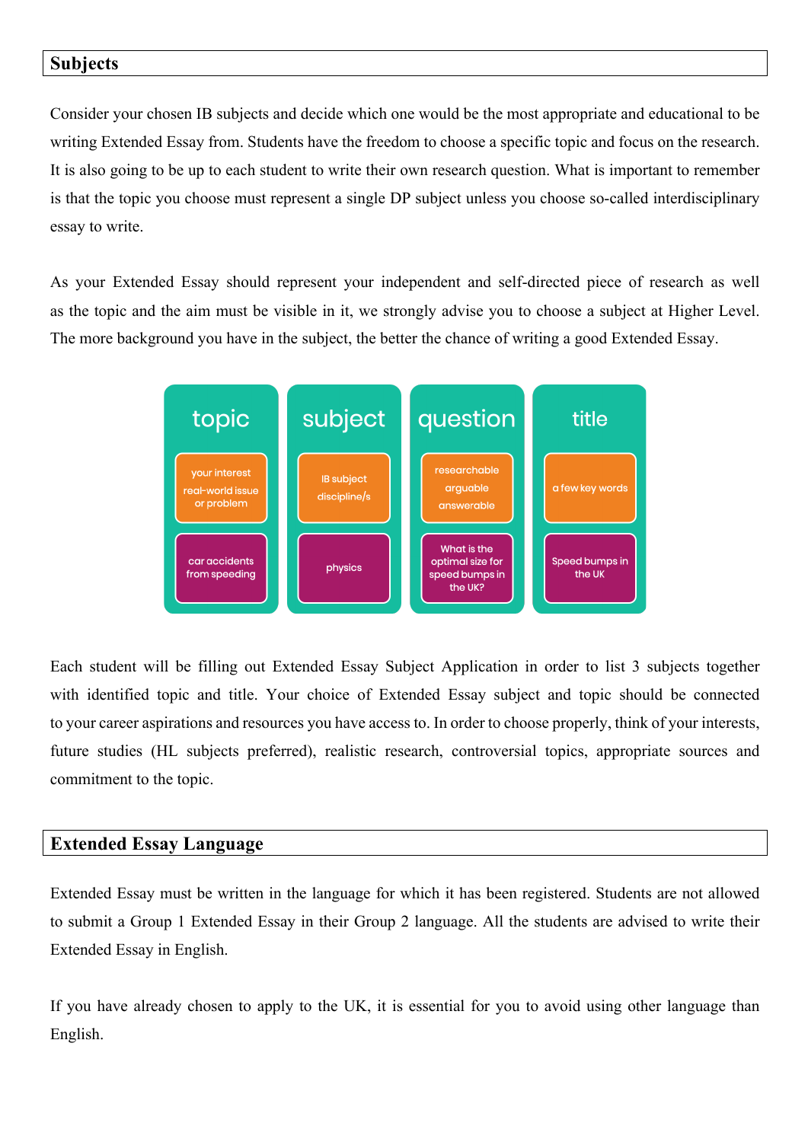# **Subjects**

Consider your chosen IB subjects and decide which one would be the most appropriate and educational to be writing Extended Essay from. Students have the freedom to choose a specific topic and focus on the research. It is also going to be up to each student to write their own research question. What is important to remember is that the topic you choose must represent a single DP subject unless you choose so-called interdisciplinary essay to write.

As your Extended Essay should represent your independent and self-directed piece of research as well as the topic and the aim must be visible in it, we strongly advise you to choose a subject at Higher Level. The more background you have in the subject, the better the chance of writing a good Extended Essay.



Each student will be filling out Extended Essay Subject Application in order to list 3 subjects together with identified topic and title. Your choice of Extended Essay subject and topic should be connected to your career aspirations and resources you have access to. In order to choose properly, think of your interests, future studies (HL subjects preferred), realistic research, controversial topics, appropriate sources and commitment to the topic.

# **Extended Essay Language**

Extended Essay must be written in the language for which it has been registered. Students are not allowed to submit a Group 1 Extended Essay in their Group 2 language. All the students are advised to write their Extended Essay in English.

If you have already chosen to apply to the UK, it is essential for you to avoid using other language than English.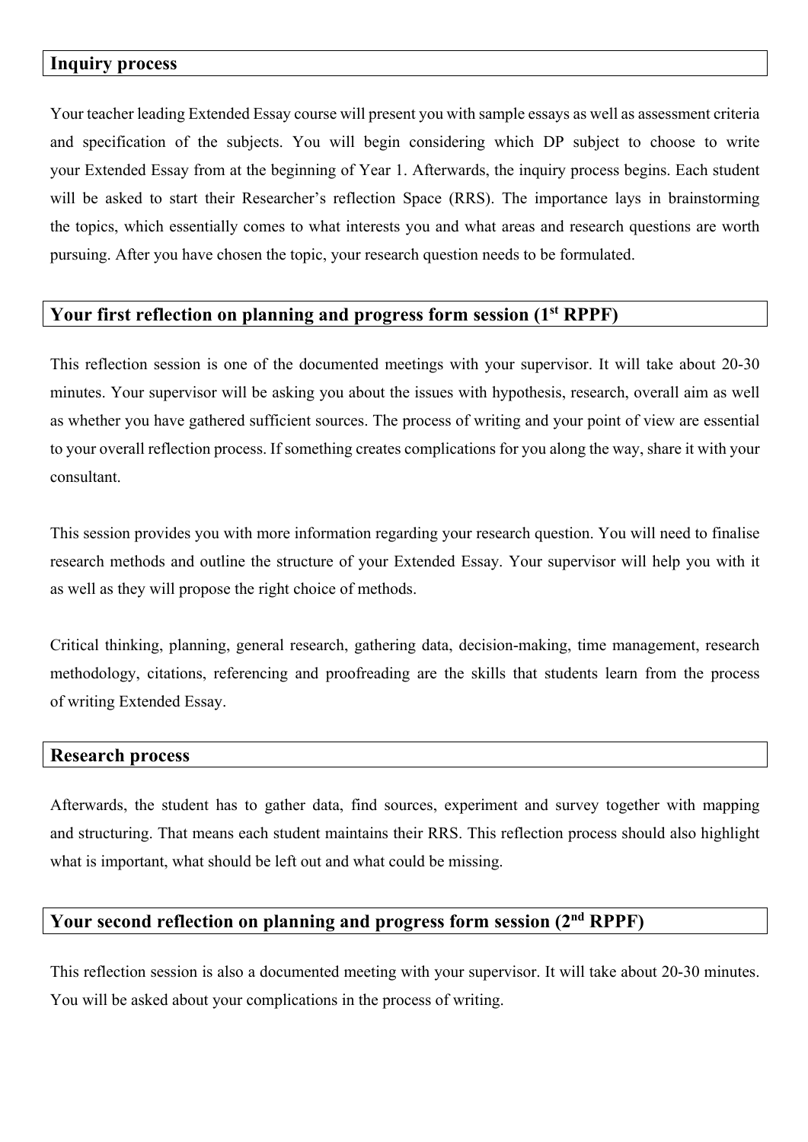#### **Inquiry process**

Your teacher leading Extended Essay course will present you with sample essays as well as assessment criteria and specification of the subjects. You will begin considering which DP subject to choose to write your Extended Essay from at the beginning of Year 1. Afterwards, the inquiry process begins. Each student will be asked to start their Researcher's reflection Space (RRS). The importance lays in brainstorming the topics, which essentially comes to what interests you and what areas and research questions are worth pursuing. After you have chosen the topic, your research question needs to be formulated.

#### **Your first reflection on planning and progress form session (1st RPPF)**

This reflection session is one of the documented meetings with your supervisor. It will take about 20-30 minutes. Your supervisor will be asking you about the issues with hypothesis, research, overall aim as well as whether you have gathered sufficient sources. The process of writing and your point of view are essential to your overall reflection process. If something creates complications for you along the way, share it with your consultant.

This session provides you with more information regarding your research question. You will need to finalise research methods and outline the structure of your Extended Essay. Your supervisor will help you with it as well as they will propose the right choice of methods.

Critical thinking, planning, general research, gathering data, decision-making, time management, research methodology, citations, referencing and proofreading are the skills that students learn from the process of writing Extended Essay.

#### **Research process**

Afterwards, the student has to gather data, find sources, experiment and survey together with mapping and structuring. That means each student maintains their RRS. This reflection process should also highlight what is important, what should be left out and what could be missing.

#### **Your second reflection on planning and progress form session (2nd RPPF)**

This reflection session is also a documented meeting with your supervisor. It will take about 20-30 minutes. You will be asked about your complications in the process of writing.